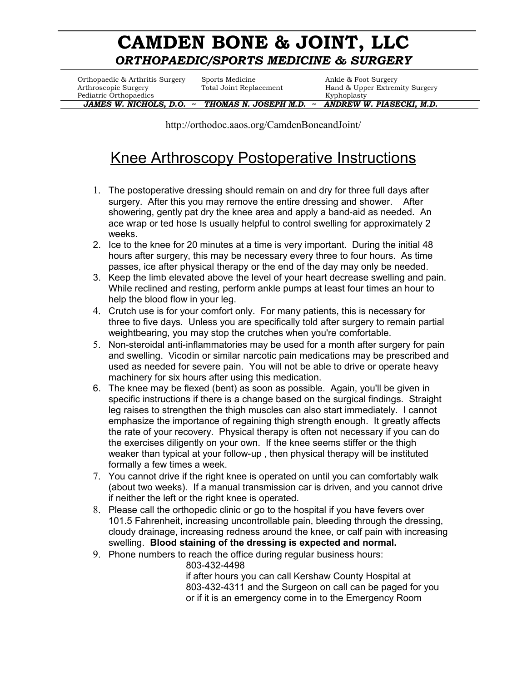## **CAMDEN BONE & JOINT, LLC** *ORTHOPAEDIC/SPORTS MEDICINE & SURGERY*

Orthopaedic & Arthritis Surgery Sports Medicine Ankle & Foot Surgery Pediatric Orthopaedics and the extension of the extension of the Kyphoplasty

Arthroscopic Surgery Total Joint Replacement Hand & Upper Extremity Surgery

 *JAMES W. NICHOLS, D.O. ~**THOMAS N. JOSEPH M.D. ~ ANDREW W. PIASECKI, M.D.*

http://orthodoc.aaos.org/CamdenBoneandJoint/

## Knee Arthroscopy Postoperative Instructions

- 1. The postoperative dressing should remain on and dry for three full days after surgery. After this you may remove the entire dressing and shower. After showering, gently pat dry the knee area and apply a band-aid as needed. An ace wrap or ted hose Is usually helpful to control swelling for approximately 2 weeks.
- 2. Ice to the knee for 20 minutes at a time is very important. During the initial 48 hours after surgery, this may be necessary every three to four hours. As time passes, ice after physical therapy or the end of the day may only be needed.
- 3. Keep the limb elevated above the level of your heart decrease swelling and pain. While reclined and resting, perform ankle pumps at least four times an hour to help the blood flow in your leg.
- 4. Crutch use is for your comfort only. For many patients, this is necessary for three to five days. Unless you are specifically told after surgery to remain partial weightbearing, you may stop the crutches when you're comfortable.
- 5. Non-steroidal anti-inflammatories may be used for a month after surgery for pain and swelling. Vicodin or similar narcotic pain medications may be prescribed and used as needed for severe pain. You will not be able to drive or operate heavy machinery for six hours after using this medication.
- 6. The knee may be flexed (bent) as soon as possible. Again, you'll be given in specific instructions if there is a change based on the surgical findings. Straight leg raises to strengthen the thigh muscles can also start immediately. I cannot emphasize the importance of regaining thigh strength enough. It greatly affects the rate of your recovery. Physical therapy is often not necessary if you can do the exercises diligently on your own. If the knee seems stiffer or the thigh weaker than typical at your follow-up , then physical therapy will be instituted formally a few times a week.
- 7. You cannot drive if the right knee is operated on until you can comfortably walk (about two weeks). If a manual transmission car is driven, and you cannot drive if neither the left or the right knee is operated.
- 8. Please call the orthopedic clinic or go to the hospital if you have fevers over 101.5 Fahrenheit, increasing uncontrollable pain, bleeding through the dressing, cloudy drainage, increasing redness around the knee, or calf pain with increasing swelling. **Blood staining of the dressing is expected and normal.**
- 9. Phone numbers to reach the office during regular business hours:
	- 803-432-4498

if after hours you can call Kershaw County Hospital at 803-432-4311 and the Surgeon on call can be paged for you or if it is an emergency come in to the Emergency Room